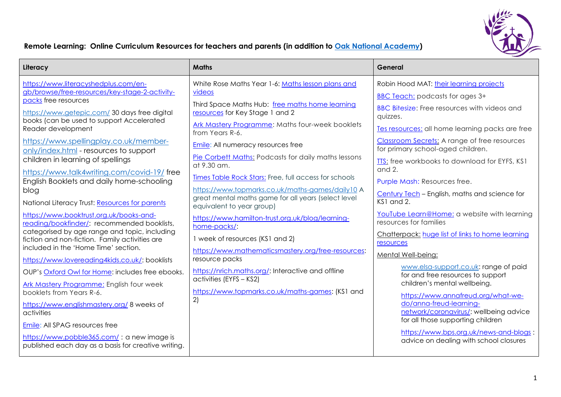

## **Remote Learning: Online Curriculum Resources for teachers and parents (in addition to Oak [National Academy\)](https://www.thenational.academy/)**

| https://www.literacyshedplus.com/en-<br>White Rose Maths Year 1-6: Maths lesson plans and<br>Robin Hood MAT: their learning projects<br>gb/browse/free-resources/key-stage-2-activity-<br>videos<br><b>BBC Teach:</b> podcasts for ages 3+<br>packs free resources<br>Third Space Maths Hub: free maths home learning<br>BBC Bitesize: Free resources with videos and<br>https://www.getepic.com/ 30 days free digital<br>resources for Key Stage 1 and 2<br>quizzes.<br>books (can be used to support Accelerated<br>Ark Mastery Programme: Maths four-week booklets<br>Tes resources: all home learning packs are free<br>Reader development<br>from Years R-6.<br><b>Classroom Secrets:</b> A range of free resources<br>https://www.spellingplay.co.uk/member-<br><b>Emile:</b> All numeracy resources free<br>for primary school-aged children.<br>only/index.html - resources to support<br>Pie Corbett Maths: Podcasts for daily maths lessons<br>children in learning of spellings<br>TTS: free workbooks to download for EYFS, KS1<br>at 9.30 am.<br>and 2.<br>https://www.talk4writing.com/covid-19/free<br>Times Table Rock Stars: Free, full access for schools<br>English Booklets and daily home-schooling<br>Purple Mash: Resources free.<br>https://www.topmarks.co.uk/maths-games/daily10 A<br>blog<br>Century Tech - English, maths and science for<br>great mental maths game for all years (select level<br>KS1 and 2.<br>National Literacy Trust: Resources for parents<br>equivalent to year group)<br>YouTube Learn@Home: a website with learning<br>https://www.booktrust.org.uk/books-and-<br>https://www.hamilton-trust.org.uk/blog/learning-<br>resources for families<br>reading/bookfinder/: recommended booklists,<br>home-packs/:<br>categorised by age range and topic, including<br>Chatterpack: huge list of links to home learning<br>1 week of resources (KS1 and 2)<br>fiction and non-fiction. Family activities are<br>resources<br>included in the 'Home Time' section.<br>https://www.mathematicsmastery.org/free-resources:<br>Mental Well-being:<br>resource packs<br>https://www.lovereading4kids.co.uk/: booklists<br>www.elsa-support.co.uk: range of paid<br>https://nrich.maths.org/: Interactive and offline<br>OUP's Oxford Owl for Home: includes free ebooks.<br>for and free resources to support<br>activities (EYFS - KS2)<br>children's mental wellbeing.<br><b>Ark Mastery Programme: English four week</b><br>https://www.topmarks.co.uk/maths-games: (KS1 and<br>booklets from Years R-6.<br>https://www.annafreud.org/what-we-<br>2)<br>do/anna-freud-learning-<br>https://www.englishmastery.org/ 8 weeks of<br>network/coronavirus/: wellbeing advice<br>activities<br>for all those supporting children<br>Emile: All SPAG resources free | Literacy | <b>Maths</b> | General                                |
|----------------------------------------------------------------------------------------------------------------------------------------------------------------------------------------------------------------------------------------------------------------------------------------------------------------------------------------------------------------------------------------------------------------------------------------------------------------------------------------------------------------------------------------------------------------------------------------------------------------------------------------------------------------------------------------------------------------------------------------------------------------------------------------------------------------------------------------------------------------------------------------------------------------------------------------------------------------------------------------------------------------------------------------------------------------------------------------------------------------------------------------------------------------------------------------------------------------------------------------------------------------------------------------------------------------------------------------------------------------------------------------------------------------------------------------------------------------------------------------------------------------------------------------------------------------------------------------------------------------------------------------------------------------------------------------------------------------------------------------------------------------------------------------------------------------------------------------------------------------------------------------------------------------------------------------------------------------------------------------------------------------------------------------------------------------------------------------------------------------------------------------------------------------------------------------------------------------------------------------------------------------------------------------------------------------------------------------------------------------------------------------------------------------------------------------------------------------------------------------------------------------------------------------------------------------------------------------------------------------------------------------------------------------------------------------------------------------------------------------------------------------------------------------------------------|----------|--------------|----------------------------------------|
| https://www.pobble365.com/: a new image is<br>advice on dealing with school closures<br>published each day as a basis for creative writing.                                                                                                                                                                                                                                                                                                                                                                                                                                                                                                                                                                                                                                                                                                                                                                                                                                                                                                                                                                                                                                                                                                                                                                                                                                                                                                                                                                                                                                                                                                                                                                                                                                                                                                                                                                                                                                                                                                                                                                                                                                                                                                                                                                                                                                                                                                                                                                                                                                                                                                                                                                                                                                                              |          |              | https://www.bps.org.uk/news-and-blogs: |